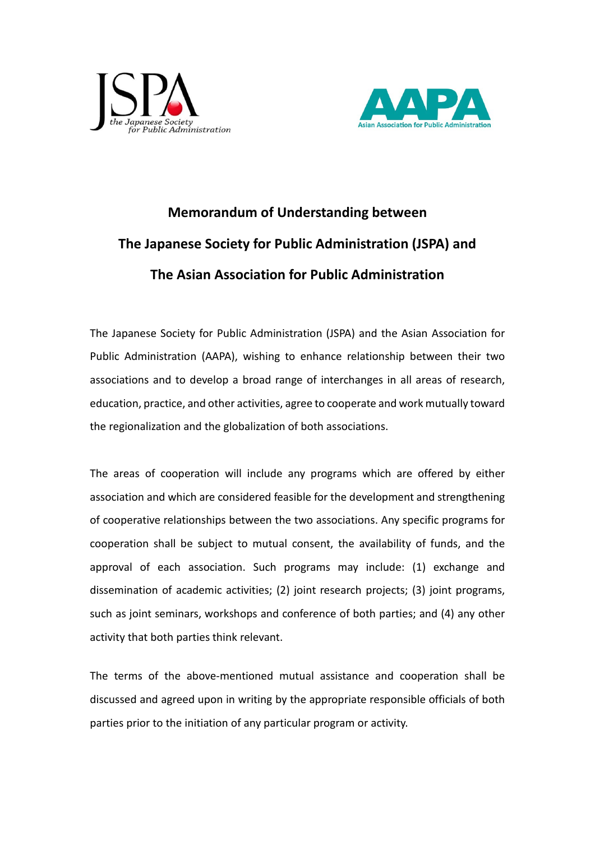



## **Memorandum of Understanding between The Japanese Society for Public Administration (JSPA) and The Asian Association for Public Administration**

The Japanese Society for Public Administration (JSPA) and the Asian Association for Public Administration (AAPA), wishing to enhance relationship between their two associations and to develop a broad range of interchanges in all areas of research, education, practice, and other activities, agree to cooperate and work mutually toward the regionalization and the globalization of both associations.

The areas of cooperation will include any programs which are offered by either association and which are considered feasible for the development and strengthening of cooperative relationships between the two associations. Any specific programs for cooperation shall be subject to mutual consent, the availability of funds, and the approval of each association. Such programs may include: (1) exchange and dissemination of academic activities; (2) joint research projects; (3) joint programs, such as joint seminars, workshops and conference of both parties; and (4) any other activity that both parties think relevant.

The terms of the above-mentioned mutual assistance and cooperation shall be discussed and agreed upon in writing by the appropriate responsible officials of both parties prior to the initiation of any particular program or activity.